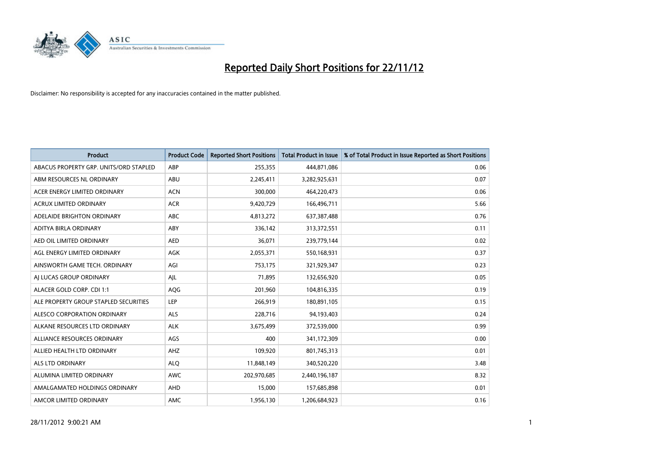

| <b>Product</b>                         | <b>Product Code</b> | <b>Reported Short Positions</b> | <b>Total Product in Issue</b> | % of Total Product in Issue Reported as Short Positions |
|----------------------------------------|---------------------|---------------------------------|-------------------------------|---------------------------------------------------------|
| ABACUS PROPERTY GRP. UNITS/ORD STAPLED | ABP                 | 255,355                         | 444,871,086                   | 0.06                                                    |
| ABM RESOURCES NL ORDINARY              | ABU                 | 2,245,411                       | 3,282,925,631                 | 0.07                                                    |
| ACER ENERGY LIMITED ORDINARY           | <b>ACN</b>          | 300,000                         | 464,220,473                   | 0.06                                                    |
| ACRUX LIMITED ORDINARY                 | <b>ACR</b>          | 9,420,729                       | 166,496,711                   | 5.66                                                    |
| ADELAIDE BRIGHTON ORDINARY             | <b>ABC</b>          | 4,813,272                       | 637,387,488                   | 0.76                                                    |
| ADITYA BIRLA ORDINARY                  | ABY                 | 336,142                         | 313,372,551                   | 0.11                                                    |
| AED OIL LIMITED ORDINARY               | <b>AED</b>          | 36,071                          | 239,779,144                   | 0.02                                                    |
| AGL ENERGY LIMITED ORDINARY            | AGK                 | 2,055,371                       | 550,168,931                   | 0.37                                                    |
| AINSWORTH GAME TECH. ORDINARY          | AGI                 | 753,175                         | 321,929,347                   | 0.23                                                    |
| AI LUCAS GROUP ORDINARY                | AJL                 | 71,895                          | 132,656,920                   | 0.05                                                    |
| ALACER GOLD CORP. CDI 1:1              | AQG                 | 201,960                         | 104,816,335                   | 0.19                                                    |
| ALE PROPERTY GROUP STAPLED SECURITIES  | LEP                 | 266,919                         | 180,891,105                   | 0.15                                                    |
| ALESCO CORPORATION ORDINARY            | <b>ALS</b>          | 228,716                         | 94,193,403                    | 0.24                                                    |
| ALKANE RESOURCES LTD ORDINARY          | <b>ALK</b>          | 3,675,499                       | 372,539,000                   | 0.99                                                    |
| ALLIANCE RESOURCES ORDINARY            | AGS                 | 400                             | 341,172,309                   | 0.00                                                    |
| ALLIED HEALTH LTD ORDINARY             | AHZ                 | 109,920                         | 801,745,313                   | 0.01                                                    |
| ALS LTD ORDINARY                       | <b>ALO</b>          | 11,848,149                      | 340,520,220                   | 3.48                                                    |
| ALUMINA LIMITED ORDINARY               | <b>AWC</b>          | 202,970,685                     | 2,440,196,187                 | 8.32                                                    |
| AMALGAMATED HOLDINGS ORDINARY          | AHD                 | 15,000                          | 157,685,898                   | 0.01                                                    |
| AMCOR LIMITED ORDINARY                 | <b>AMC</b>          | 1,956,130                       | 1,206,684,923                 | 0.16                                                    |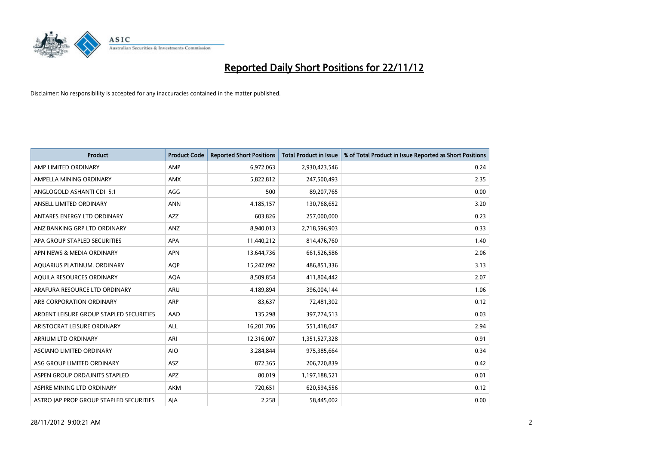

| <b>Product</b>                          | <b>Product Code</b> | <b>Reported Short Positions</b> | <b>Total Product in Issue</b> | % of Total Product in Issue Reported as Short Positions |
|-----------------------------------------|---------------------|---------------------------------|-------------------------------|---------------------------------------------------------|
| AMP LIMITED ORDINARY                    | AMP                 | 6,972,063                       | 2,930,423,546                 | 0.24                                                    |
| AMPELLA MINING ORDINARY                 | <b>AMX</b>          | 5,822,812                       | 247,500,493                   | 2.35                                                    |
| ANGLOGOLD ASHANTI CDI 5:1               | AGG                 | 500                             | 89,207,765                    | 0.00                                                    |
| ANSELL LIMITED ORDINARY                 | <b>ANN</b>          | 4,185,157                       | 130,768,652                   | 3.20                                                    |
| ANTARES ENERGY LTD ORDINARY             | <b>AZZ</b>          | 603,826                         | 257,000,000                   | 0.23                                                    |
| ANZ BANKING GRP LTD ORDINARY            | ANZ                 | 8,940,013                       | 2,718,596,903                 | 0.33                                                    |
| APA GROUP STAPLED SECURITIES            | <b>APA</b>          | 11,440,212                      | 814,476,760                   | 1.40                                                    |
| APN NEWS & MEDIA ORDINARY               | <b>APN</b>          | 13,644,736                      | 661,526,586                   | 2.06                                                    |
| AQUARIUS PLATINUM. ORDINARY             | <b>AOP</b>          | 15,242,092                      | 486,851,336                   | 3.13                                                    |
| AQUILA RESOURCES ORDINARY               | <b>AQA</b>          | 8,509,854                       | 411,804,442                   | 2.07                                                    |
| ARAFURA RESOURCE LTD ORDINARY           | ARU                 | 4,189,894                       | 396,004,144                   | 1.06                                                    |
| ARB CORPORATION ORDINARY                | <b>ARP</b>          | 83,637                          | 72,481,302                    | 0.12                                                    |
| ARDENT LEISURE GROUP STAPLED SECURITIES | AAD                 | 135,298                         | 397,774,513                   | 0.03                                                    |
| ARISTOCRAT LEISURE ORDINARY             | ALL                 | 16,201,706                      | 551,418,047                   | 2.94                                                    |
| <b>ARRIUM LTD ORDINARY</b>              | ARI                 | 12,316,007                      | 1,351,527,328                 | 0.91                                                    |
| ASCIANO LIMITED ORDINARY                | <b>AIO</b>          | 3,284,844                       | 975,385,664                   | 0.34                                                    |
| ASG GROUP LIMITED ORDINARY              | ASZ                 | 872,365                         | 206,720,839                   | 0.42                                                    |
| ASPEN GROUP ORD/UNITS STAPLED           | <b>APZ</b>          | 80,019                          | 1,197,188,521                 | 0.01                                                    |
| ASPIRE MINING LTD ORDINARY              | <b>AKM</b>          | 720,651                         | 620,594,556                   | 0.12                                                    |
| ASTRO JAP PROP GROUP STAPLED SECURITIES | AJA                 | 2,258                           | 58,445,002                    | 0.00                                                    |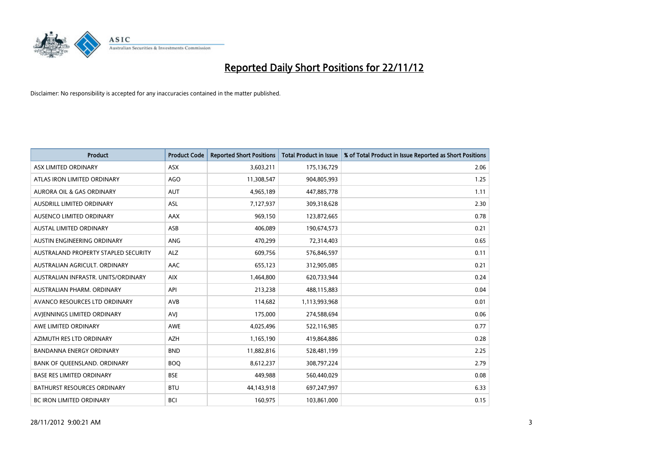

| <b>Product</b>                       | <b>Product Code</b> | <b>Reported Short Positions</b> | <b>Total Product in Issue</b> | % of Total Product in Issue Reported as Short Positions |
|--------------------------------------|---------------------|---------------------------------|-------------------------------|---------------------------------------------------------|
| ASX LIMITED ORDINARY                 | <b>ASX</b>          | 3,603,211                       | 175,136,729                   | 2.06                                                    |
| ATLAS IRON LIMITED ORDINARY          | AGO                 | 11,308,547                      | 904,805,993                   | 1.25                                                    |
| <b>AURORA OIL &amp; GAS ORDINARY</b> | <b>AUT</b>          | 4,965,189                       | 447,885,778                   | 1.11                                                    |
| AUSDRILL LIMITED ORDINARY            | <b>ASL</b>          | 7,127,937                       | 309,318,628                   | 2.30                                                    |
| AUSENCO LIMITED ORDINARY             | <b>AAX</b>          | 969,150                         | 123,872,665                   | 0.78                                                    |
| <b>AUSTAL LIMITED ORDINARY</b>       | ASB                 | 406,089                         | 190,674,573                   | 0.21                                                    |
| AUSTIN ENGINEERING ORDINARY          | ANG                 | 470,299                         | 72,314,403                    | 0.65                                                    |
| AUSTRALAND PROPERTY STAPLED SECURITY | <b>ALZ</b>          | 609,756                         | 576,846,597                   | 0.11                                                    |
| AUSTRALIAN AGRICULT, ORDINARY        | AAC                 | 655,123                         | 312,905,085                   | 0.21                                                    |
| AUSTRALIAN INFRASTR, UNITS/ORDINARY  | <b>AIX</b>          | 1,464,800                       | 620,733,944                   | 0.24                                                    |
| AUSTRALIAN PHARM. ORDINARY           | API                 | 213,238                         | 488,115,883                   | 0.04                                                    |
| AVANCO RESOURCES LTD ORDINARY        | AVB                 | 114,682                         | 1,113,993,968                 | 0.01                                                    |
| AVIENNINGS LIMITED ORDINARY          | AVI                 | 175,000                         | 274,588,694                   | 0.06                                                    |
| AWE LIMITED ORDINARY                 | <b>AWE</b>          | 4,025,496                       | 522,116,985                   | 0.77                                                    |
| AZIMUTH RES LTD ORDINARY             | <b>AZH</b>          | 1,165,190                       | 419,864,886                   | 0.28                                                    |
| BANDANNA ENERGY ORDINARY             | <b>BND</b>          | 11,882,816                      | 528,481,199                   | 2.25                                                    |
| BANK OF QUEENSLAND. ORDINARY         | <b>BOQ</b>          | 8,612,237                       | 308,797,224                   | 2.79                                                    |
| <b>BASE RES LIMITED ORDINARY</b>     | <b>BSE</b>          | 449,988                         | 560,440,029                   | 0.08                                                    |
| <b>BATHURST RESOURCES ORDINARY</b>   | <b>BTU</b>          | 44,143,918                      | 697,247,997                   | 6.33                                                    |
| BC IRON LIMITED ORDINARY             | <b>BCI</b>          | 160,975                         | 103,861,000                   | 0.15                                                    |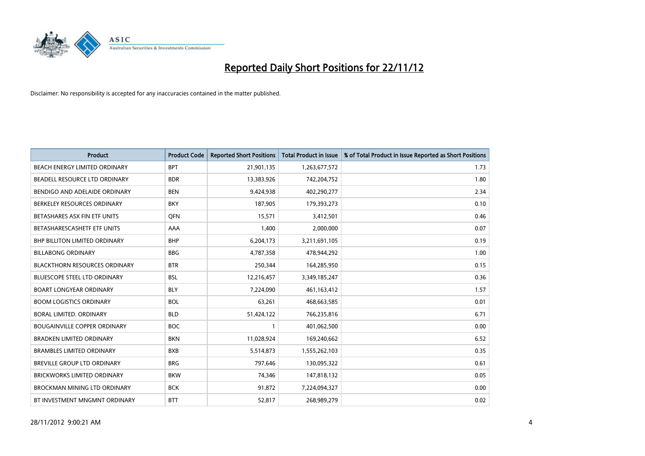

| <b>Product</b>                       | <b>Product Code</b> | <b>Reported Short Positions</b> | <b>Total Product in Issue</b> | % of Total Product in Issue Reported as Short Positions |
|--------------------------------------|---------------------|---------------------------------|-------------------------------|---------------------------------------------------------|
| <b>BEACH ENERGY LIMITED ORDINARY</b> | <b>BPT</b>          | 21,901,135                      | 1,263,677,572                 | 1.73                                                    |
| BEADELL RESOURCE LTD ORDINARY        | <b>BDR</b>          | 13,383,926                      | 742,204,752                   | 1.80                                                    |
| BENDIGO AND ADELAIDE ORDINARY        | <b>BEN</b>          | 9,424,938                       | 402,290,277                   | 2.34                                                    |
| BERKELEY RESOURCES ORDINARY          | <b>BKY</b>          | 187,905                         | 179,393,273                   | 0.10                                                    |
| BETASHARES ASX FIN ETF UNITS         | <b>OFN</b>          | 15,571                          | 3,412,501                     | 0.46                                                    |
| BETASHARESCASHETF ETF UNITS          | AAA                 | 1,400                           | 2,000,000                     | 0.07                                                    |
| <b>BHP BILLITON LIMITED ORDINARY</b> | <b>BHP</b>          | 6,204,173                       | 3,211,691,105                 | 0.19                                                    |
| <b>BILLABONG ORDINARY</b>            | <b>BBG</b>          | 4,787,358                       | 478,944,292                   | 1.00                                                    |
| <b>BLACKTHORN RESOURCES ORDINARY</b> | <b>BTR</b>          | 250,344                         | 164,285,950                   | 0.15                                                    |
| <b>BLUESCOPE STEEL LTD ORDINARY</b>  | <b>BSL</b>          | 12,216,457                      | 3,349,185,247                 | 0.36                                                    |
| <b>BOART LONGYEAR ORDINARY</b>       | <b>BLY</b>          | 7,224,090                       | 461,163,412                   | 1.57                                                    |
| <b>BOOM LOGISTICS ORDINARY</b>       | <b>BOL</b>          | 63,261                          | 468,663,585                   | 0.01                                                    |
| BORAL LIMITED. ORDINARY              | <b>BLD</b>          | 51,424,122                      | 766,235,816                   | 6.71                                                    |
| <b>BOUGAINVILLE COPPER ORDINARY</b>  | <b>BOC</b>          |                                 | 401,062,500                   | 0.00                                                    |
| <b>BRADKEN LIMITED ORDINARY</b>      | <b>BKN</b>          | 11,028,924                      | 169,240,662                   | 6.52                                                    |
| <b>BRAMBLES LIMITED ORDINARY</b>     | <b>BXB</b>          | 5,514,873                       | 1,555,262,103                 | 0.35                                                    |
| BREVILLE GROUP LTD ORDINARY          | <b>BRG</b>          | 797,646                         | 130,095,322                   | 0.61                                                    |
| <b>BRICKWORKS LIMITED ORDINARY</b>   | <b>BKW</b>          | 74,346                          | 147,818,132                   | 0.05                                                    |
| <b>BROCKMAN MINING LTD ORDINARY</b>  | <b>BCK</b>          | 91,872                          | 7,224,094,327                 | 0.00                                                    |
| BT INVESTMENT MNGMNT ORDINARY        | <b>BTT</b>          | 52,817                          | 268,989,279                   | 0.02                                                    |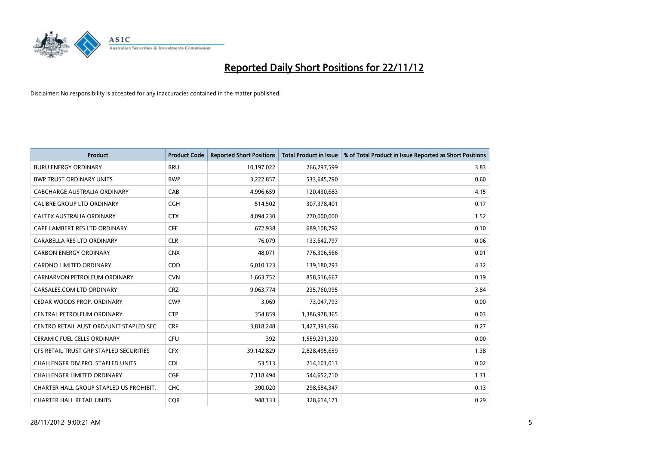

| <b>Product</b>                          | <b>Product Code</b> | <b>Reported Short Positions</b> | <b>Total Product in Issue</b> | % of Total Product in Issue Reported as Short Positions |
|-----------------------------------------|---------------------|---------------------------------|-------------------------------|---------------------------------------------------------|
| <b>BURU ENERGY ORDINARY</b>             | <b>BRU</b>          | 10,197,022                      | 266,297,599                   | 3.83                                                    |
| <b>BWP TRUST ORDINARY UNITS</b>         | <b>BWP</b>          | 3,222,857                       | 533,645,790                   | 0.60                                                    |
| CABCHARGE AUSTRALIA ORDINARY            | CAB                 | 4,996,659                       | 120,430,683                   | 4.15                                                    |
| CALIBRE GROUP LTD ORDINARY              | <b>CGH</b>          | 514,502                         | 307,378,401                   | 0.17                                                    |
| CALTEX AUSTRALIA ORDINARY               | <b>CTX</b>          | 4,094,230                       | 270,000,000                   | 1.52                                                    |
| CAPE LAMBERT RES LTD ORDINARY           | <b>CFE</b>          | 672,938                         | 689,108,792                   | 0.10                                                    |
| CARABELLA RES LTD ORDINARY              | <b>CLR</b>          | 76.079                          | 133,642,797                   | 0.06                                                    |
| <b>CARBON ENERGY ORDINARY</b>           | <b>CNX</b>          | 48,071                          | 776,306,566                   | 0.01                                                    |
| CARDNO LIMITED ORDINARY                 | CDD                 | 6,010,123                       | 139,180,293                   | 4.32                                                    |
| CARNARVON PETROLEUM ORDINARY            | <b>CVN</b>          | 1,663,752                       | 858,516,667                   | 0.19                                                    |
| CARSALES.COM LTD ORDINARY               | <b>CRZ</b>          | 9,063,774                       | 235,760,995                   | 3.84                                                    |
| CEDAR WOODS PROP. ORDINARY              | <b>CWP</b>          | 3.069                           | 73,047,793                    | 0.00                                                    |
| CENTRAL PETROLEUM ORDINARY              | <b>CTP</b>          | 354,859                         | 1,386,978,365                 | 0.03                                                    |
| CENTRO RETAIL AUST ORD/UNIT STAPLED SEC | <b>CRF</b>          | 3,818,248                       | 1,427,391,696                 | 0.27                                                    |
| <b>CERAMIC FUEL CELLS ORDINARY</b>      | <b>CFU</b>          | 392                             | 1,559,231,320                 | 0.00                                                    |
| CFS RETAIL TRUST GRP STAPLED SECURITIES | <b>CFX</b>          | 39,142,829                      | 2,828,495,659                 | 1.38                                                    |
| CHALLENGER DIV.PRO. STAPLED UNITS       | <b>CDI</b>          | 53,513                          | 214,101,013                   | 0.02                                                    |
| <b>CHALLENGER LIMITED ORDINARY</b>      | <b>CGF</b>          | 7,118,494                       | 544,652,710                   | 1.31                                                    |
| CHARTER HALL GROUP STAPLED US PROHIBIT. | <b>CHC</b>          | 390,020                         | 298,684,347                   | 0.13                                                    |
| <b>CHARTER HALL RETAIL UNITS</b>        | <b>COR</b>          | 948.133                         | 328,614,171                   | 0.29                                                    |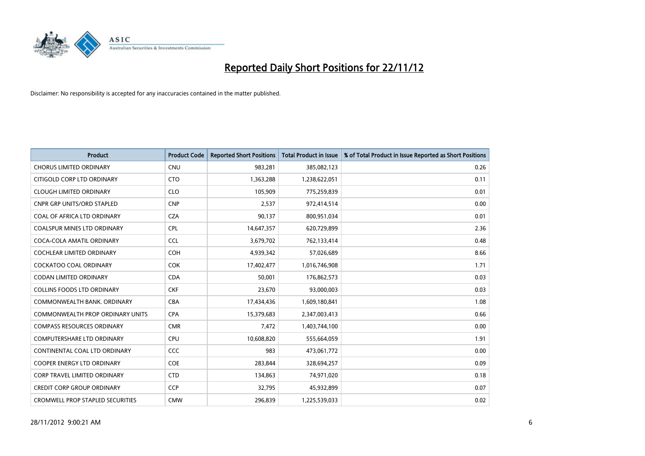

| <b>Product</b>                          | <b>Product Code</b> | <b>Reported Short Positions</b> | <b>Total Product in Issue</b> | % of Total Product in Issue Reported as Short Positions |
|-----------------------------------------|---------------------|---------------------------------|-------------------------------|---------------------------------------------------------|
| <b>CHORUS LIMITED ORDINARY</b>          | <b>CNU</b>          | 983,281                         | 385,082,123                   | 0.26                                                    |
| CITIGOLD CORP LTD ORDINARY              | <b>CTO</b>          | 1,363,288                       | 1,238,622,051                 | 0.11                                                    |
| <b>CLOUGH LIMITED ORDINARY</b>          | <b>CLO</b>          | 105,909                         | 775,259,839                   | 0.01                                                    |
| <b>CNPR GRP UNITS/ORD STAPLED</b>       | <b>CNP</b>          | 2,537                           | 972,414,514                   | 0.00                                                    |
| COAL OF AFRICA LTD ORDINARY             | <b>CZA</b>          | 90,137                          | 800,951,034                   | 0.01                                                    |
| <b>COALSPUR MINES LTD ORDINARY</b>      | <b>CPL</b>          | 14,647,357                      | 620,729,899                   | 2.36                                                    |
| COCA-COLA AMATIL ORDINARY               | <b>CCL</b>          | 3,679,702                       | 762,133,414                   | 0.48                                                    |
| COCHLEAR LIMITED ORDINARY               | <b>COH</b>          | 4,939,342                       | 57,026,689                    | 8.66                                                    |
| COCKATOO COAL ORDINARY                  | <b>COK</b>          | 17,402,477                      | 1,016,746,908                 | 1.71                                                    |
| <b>CODAN LIMITED ORDINARY</b>           | <b>CDA</b>          | 50,001                          | 176,862,573                   | 0.03                                                    |
| <b>COLLINS FOODS LTD ORDINARY</b>       | <b>CKF</b>          | 23,670                          | 93,000,003                    | 0.03                                                    |
| COMMONWEALTH BANK, ORDINARY             | <b>CBA</b>          | 17,434,436                      | 1,609,180,841                 | 1.08                                                    |
| <b>COMMONWEALTH PROP ORDINARY UNITS</b> | <b>CPA</b>          | 15,379,683                      | 2,347,003,413                 | 0.66                                                    |
| <b>COMPASS RESOURCES ORDINARY</b>       | <b>CMR</b>          | 7,472                           | 1,403,744,100                 | 0.00                                                    |
| <b>COMPUTERSHARE LTD ORDINARY</b>       | CPU                 | 10,608,820                      | 555,664,059                   | 1.91                                                    |
| CONTINENTAL COAL LTD ORDINARY           | CCC                 | 983                             | 473,061,772                   | 0.00                                                    |
| <b>COOPER ENERGY LTD ORDINARY</b>       | <b>COE</b>          | 283,844                         | 328,694,257                   | 0.09                                                    |
| <b>CORP TRAVEL LIMITED ORDINARY</b>     | <b>CTD</b>          | 134,863                         | 74,971,020                    | 0.18                                                    |
| <b>CREDIT CORP GROUP ORDINARY</b>       | <b>CCP</b>          | 32,795                          | 45,932,899                    | 0.07                                                    |
| <b>CROMWELL PROP STAPLED SECURITIES</b> | <b>CMW</b>          | 296.839                         | 1,225,539,033                 | 0.02                                                    |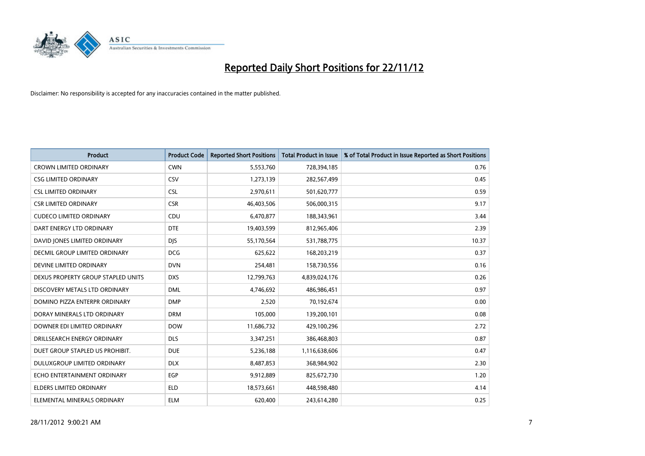

| <b>Product</b>                       | <b>Product Code</b> | <b>Reported Short Positions</b> | <b>Total Product in Issue</b> | % of Total Product in Issue Reported as Short Positions |
|--------------------------------------|---------------------|---------------------------------|-------------------------------|---------------------------------------------------------|
| <b>CROWN LIMITED ORDINARY</b>        | <b>CWN</b>          | 5,553,760                       | 728,394,185                   | 0.76                                                    |
| <b>CSG LIMITED ORDINARY</b>          | CSV                 | 1,273,139                       | 282,567,499                   | 0.45                                                    |
| <b>CSL LIMITED ORDINARY</b>          | <b>CSL</b>          | 2,970,611                       | 501,620,777                   | 0.59                                                    |
| <b>CSR LIMITED ORDINARY</b>          | <b>CSR</b>          | 46,403,506                      | 506,000,315                   | 9.17                                                    |
| <b>CUDECO LIMITED ORDINARY</b>       | CDU                 | 6,470,877                       | 188,343,961                   | 3.44                                                    |
| DART ENERGY LTD ORDINARY             | <b>DTE</b>          | 19,403,599                      | 812,965,406                   | 2.39                                                    |
| DAVID JONES LIMITED ORDINARY         | <b>DIS</b>          | 55,170,564                      | 531,788,775                   | 10.37                                                   |
| <b>DECMIL GROUP LIMITED ORDINARY</b> | <b>DCG</b>          | 625,622                         | 168,203,219                   | 0.37                                                    |
| DEVINE LIMITED ORDINARY              | <b>DVN</b>          | 254,481                         | 158,730,556                   | 0.16                                                    |
| DEXUS PROPERTY GROUP STAPLED UNITS   | <b>DXS</b>          | 12,799,763                      | 4,839,024,176                 | 0.26                                                    |
| DISCOVERY METALS LTD ORDINARY        | <b>DML</b>          | 4,746,692                       | 486,986,451                   | 0.97                                                    |
| DOMINO PIZZA ENTERPR ORDINARY        | <b>DMP</b>          | 2,520                           | 70,192,674                    | 0.00                                                    |
| DORAY MINERALS LTD ORDINARY          | <b>DRM</b>          | 105,000                         | 139,200,101                   | 0.08                                                    |
| DOWNER EDI LIMITED ORDINARY          | <b>DOW</b>          | 11,686,732                      | 429,100,296                   | 2.72                                                    |
| DRILLSEARCH ENERGY ORDINARY          | <b>DLS</b>          | 3,347,251                       | 386,468,803                   | 0.87                                                    |
| DUET GROUP STAPLED US PROHIBIT.      | <b>DUE</b>          | 5,236,188                       | 1,116,638,606                 | 0.47                                                    |
| <b>DULUXGROUP LIMITED ORDINARY</b>   | <b>DLX</b>          | 8,487,853                       | 368,984,902                   | 2.30                                                    |
| ECHO ENTERTAINMENT ORDINARY          | <b>EGP</b>          | 9,912,889                       | 825,672,730                   | 1.20                                                    |
| <b>ELDERS LIMITED ORDINARY</b>       | <b>ELD</b>          | 18,573,661                      | 448,598,480                   | 4.14                                                    |
| ELEMENTAL MINERALS ORDINARY          | <b>ELM</b>          | 620.400                         | 243,614,280                   | 0.25                                                    |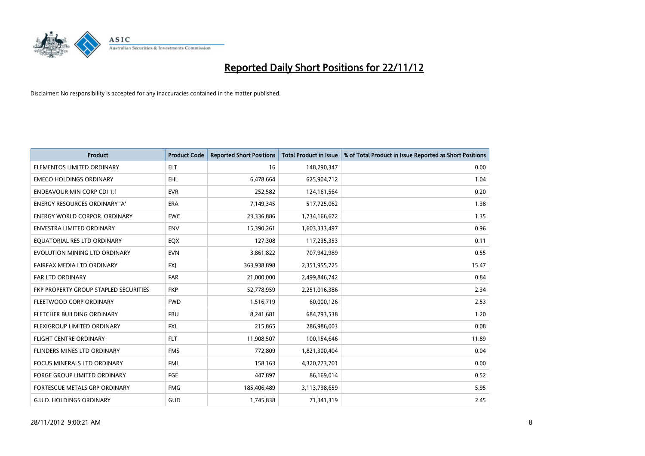

| <b>Product</b>                        | <b>Product Code</b> | <b>Reported Short Positions</b> | <b>Total Product in Issue</b> | % of Total Product in Issue Reported as Short Positions |
|---------------------------------------|---------------------|---------------------------------|-------------------------------|---------------------------------------------------------|
| ELEMENTOS LIMITED ORDINARY            | <b>ELT</b>          | 16                              | 148,290,347                   | 0.00                                                    |
| <b>EMECO HOLDINGS ORDINARY</b>        | <b>EHL</b>          | 6,478,664                       | 625,904,712                   | 1.04                                                    |
| <b>ENDEAVOUR MIN CORP CDI 1:1</b>     | <b>EVR</b>          | 252,582                         | 124,161,564                   | 0.20                                                    |
| ENERGY RESOURCES ORDINARY 'A'         | ERA                 | 7,149,345                       | 517,725,062                   | 1.38                                                    |
| <b>ENERGY WORLD CORPOR, ORDINARY</b>  | <b>EWC</b>          | 23,336,886                      | 1,734,166,672                 | 1.35                                                    |
| <b>ENVESTRA LIMITED ORDINARY</b>      | <b>ENV</b>          | 15,390,261                      | 1,603,333,497                 | 0.96                                                    |
| EQUATORIAL RES LTD ORDINARY           | EQX                 | 127,308                         | 117,235,353                   | 0.11                                                    |
| EVOLUTION MINING LTD ORDINARY         | <b>EVN</b>          | 3,861,822                       | 707,942,989                   | 0.55                                                    |
| FAIRFAX MEDIA LTD ORDINARY            | <b>FXI</b>          | 363,938,898                     | 2,351,955,725                 | 15.47                                                   |
| <b>FAR LTD ORDINARY</b>               | <b>FAR</b>          | 21,000,000                      | 2,499,846,742                 | 0.84                                                    |
| FKP PROPERTY GROUP STAPLED SECURITIES | <b>FKP</b>          | 52,778,959                      | 2,251,016,386                 | 2.34                                                    |
| FLEETWOOD CORP ORDINARY               | <b>FWD</b>          | 1,516,719                       | 60,000,126                    | 2.53                                                    |
| FLETCHER BUILDING ORDINARY            | <b>FBU</b>          | 8,241,681                       | 684,793,538                   | 1.20                                                    |
| FLEXIGROUP LIMITED ORDINARY           | <b>FXL</b>          | 215,865                         | 286,986,003                   | 0.08                                                    |
| <b>FLIGHT CENTRE ORDINARY</b>         | <b>FLT</b>          | 11,908,507                      | 100,154,646                   | 11.89                                                   |
| FLINDERS MINES LTD ORDINARY           | <b>FMS</b>          | 772,809                         | 1,821,300,404                 | 0.04                                                    |
| FOCUS MINERALS LTD ORDINARY           | <b>FML</b>          | 158,163                         | 4,320,773,701                 | 0.00                                                    |
| FORGE GROUP LIMITED ORDINARY          | FGE                 | 447,897                         | 86,169,014                    | 0.52                                                    |
| FORTESCUE METALS GRP ORDINARY         | <b>FMG</b>          | 185,406,489                     | 3,113,798,659                 | 5.95                                                    |
| <b>G.U.D. HOLDINGS ORDINARY</b>       | GUD                 | 1,745,838                       | 71,341,319                    | 2.45                                                    |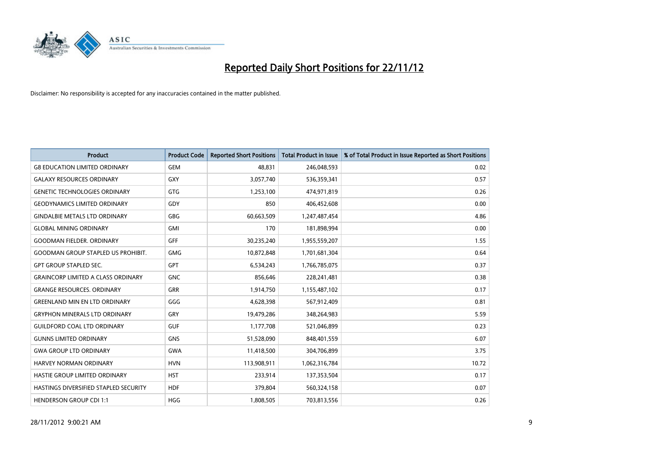

| <b>Product</b>                            | <b>Product Code</b> | <b>Reported Short Positions</b> | <b>Total Product in Issue</b> | % of Total Product in Issue Reported as Short Positions |
|-------------------------------------------|---------------------|---------------------------------|-------------------------------|---------------------------------------------------------|
| <b>G8 EDUCATION LIMITED ORDINARY</b>      | <b>GEM</b>          | 48.831                          | 246,048,593                   | 0.02                                                    |
| <b>GALAXY RESOURCES ORDINARY</b>          | <b>GXY</b>          | 3,057,740                       | 536,359,341                   | 0.57                                                    |
| <b>GENETIC TECHNOLOGIES ORDINARY</b>      | <b>GTG</b>          | 1,253,100                       | 474,971,819                   | 0.26                                                    |
| <b>GEODYNAMICS LIMITED ORDINARY</b>       | GDY                 | 850                             | 406,452,608                   | 0.00                                                    |
| <b>GINDALBIE METALS LTD ORDINARY</b>      | <b>GBG</b>          | 60,663,509                      | 1,247,487,454                 | 4.86                                                    |
| <b>GLOBAL MINING ORDINARY</b>             | <b>GMI</b>          | 170                             | 181,898,994                   | 0.00                                                    |
| <b>GOODMAN FIELDER, ORDINARY</b>          | <b>GFF</b>          | 30,235,240                      | 1,955,559,207                 | 1.55                                                    |
| <b>GOODMAN GROUP STAPLED US PROHIBIT.</b> | <b>GMG</b>          | 10,872,848                      | 1,701,681,304                 | 0.64                                                    |
| <b>GPT GROUP STAPLED SEC.</b>             | <b>GPT</b>          | 6,534,243                       | 1,766,785,075                 | 0.37                                                    |
| <b>GRAINCORP LIMITED A CLASS ORDINARY</b> | <b>GNC</b>          | 856,646                         | 228,241,481                   | 0.38                                                    |
| <b>GRANGE RESOURCES. ORDINARY</b>         | <b>GRR</b>          | 1,914,750                       | 1,155,487,102                 | 0.17                                                    |
| <b>GREENLAND MIN EN LTD ORDINARY</b>      | GGG                 | 4,628,398                       | 567,912,409                   | 0.81                                                    |
| <b>GRYPHON MINERALS LTD ORDINARY</b>      | GRY                 | 19,479,286                      | 348,264,983                   | 5.59                                                    |
| <b>GUILDFORD COAL LTD ORDINARY</b>        | <b>GUF</b>          | 1,177,708                       | 521,046,899                   | 0.23                                                    |
| <b>GUNNS LIMITED ORDINARY</b>             | <b>GNS</b>          | 51,528,090                      | 848,401,559                   | 6.07                                                    |
| <b>GWA GROUP LTD ORDINARY</b>             | <b>GWA</b>          | 11,418,500                      | 304,706,899                   | 3.75                                                    |
| HARVEY NORMAN ORDINARY                    | <b>HVN</b>          | 113,908,911                     | 1,062,316,784                 | 10.72                                                   |
| HASTIE GROUP LIMITED ORDINARY             | <b>HST</b>          | 233,914                         | 137,353,504                   | 0.17                                                    |
| HASTINGS DIVERSIFIED STAPLED SECURITY     | <b>HDF</b>          | 379,804                         | 560,324,158                   | 0.07                                                    |
| <b>HENDERSON GROUP CDI 1:1</b>            | <b>HGG</b>          | 1,808,505                       | 703,813,556                   | 0.26                                                    |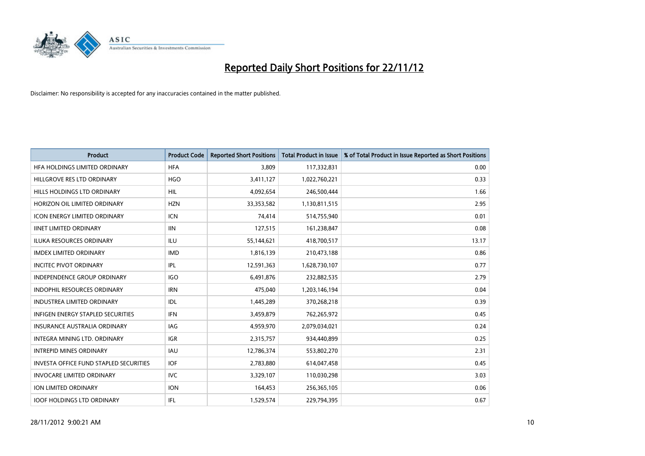

| <b>Product</b>                         | <b>Product Code</b> | <b>Reported Short Positions</b> | <b>Total Product in Issue</b> | % of Total Product in Issue Reported as Short Positions |
|----------------------------------------|---------------------|---------------------------------|-------------------------------|---------------------------------------------------------|
| HFA HOLDINGS LIMITED ORDINARY          | <b>HFA</b>          | 3.809                           | 117,332,831                   | 0.00                                                    |
| HILLGROVE RES LTD ORDINARY             | <b>HGO</b>          | 3,411,127                       | 1,022,760,221                 | 0.33                                                    |
| HILLS HOLDINGS LTD ORDINARY            | <b>HIL</b>          | 4,092,654                       | 246,500,444                   | 1.66                                                    |
| HORIZON OIL LIMITED ORDINARY           | <b>HZN</b>          | 33,353,582                      | 1,130,811,515                 | 2.95                                                    |
| <b>ICON ENERGY LIMITED ORDINARY</b>    | <b>ICN</b>          | 74,414                          | 514,755,940                   | 0.01                                                    |
| <b>IINET LIMITED ORDINARY</b>          | <b>IIN</b>          | 127,515                         | 161,238,847                   | 0.08                                                    |
| <b>ILUKA RESOURCES ORDINARY</b>        | ILU                 | 55,144,621                      | 418,700,517                   | 13.17                                                   |
| <b>IMDEX LIMITED ORDINARY</b>          | <b>IMD</b>          | 1,816,139                       | 210,473,188                   | 0.86                                                    |
| <b>INCITEC PIVOT ORDINARY</b>          | IPL                 | 12,591,363                      | 1,628,730,107                 | 0.77                                                    |
| <b>INDEPENDENCE GROUP ORDINARY</b>     | <b>IGO</b>          | 6,491,876                       | 232,882,535                   | 2.79                                                    |
| INDOPHIL RESOURCES ORDINARY            | <b>IRN</b>          | 475,040                         | 1,203,146,194                 | 0.04                                                    |
| <b>INDUSTREA LIMITED ORDINARY</b>      | IDL                 | 1,445,289                       | 370,268,218                   | 0.39                                                    |
| INFIGEN ENERGY STAPLED SECURITIES      | <b>IFN</b>          | 3,459,879                       | 762,265,972                   | 0.45                                                    |
| <b>INSURANCE AUSTRALIA ORDINARY</b>    | IAG                 | 4,959,970                       | 2,079,034,021                 | 0.24                                                    |
| <b>INTEGRA MINING LTD, ORDINARY</b>    | <b>IGR</b>          | 2,315,757                       | 934,440,899                   | 0.25                                                    |
| <b>INTREPID MINES ORDINARY</b>         | <b>IAU</b>          | 12,786,374                      | 553,802,270                   | 2.31                                                    |
| INVESTA OFFICE FUND STAPLED SECURITIES | <b>IOF</b>          | 2,783,880                       | 614,047,458                   | 0.45                                                    |
| <b>INVOCARE LIMITED ORDINARY</b>       | IVC                 | 3,329,107                       | 110,030,298                   | 3.03                                                    |
| <b>ION LIMITED ORDINARY</b>            | <b>ION</b>          | 164,453                         | 256,365,105                   | 0.06                                                    |
| <b>IOOF HOLDINGS LTD ORDINARY</b>      | <b>IFL</b>          | 1,529,574                       | 229,794,395                   | 0.67                                                    |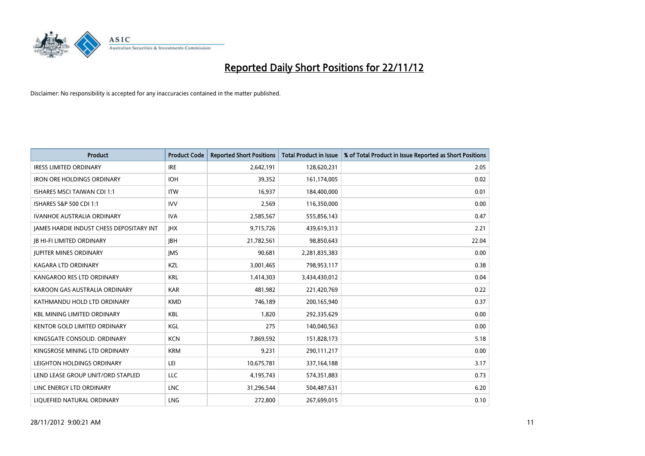

| <b>Product</b>                                  | <b>Product Code</b> | <b>Reported Short Positions</b> | <b>Total Product in Issue</b> | % of Total Product in Issue Reported as Short Positions |
|-------------------------------------------------|---------------------|---------------------------------|-------------------------------|---------------------------------------------------------|
| <b>IRESS LIMITED ORDINARY</b>                   | <b>IRE</b>          | 2,642,191                       | 128,620,231                   | 2.05                                                    |
| <b>IRON ORE HOLDINGS ORDINARY</b>               | <b>IOH</b>          | 39,352                          | 161,174,005                   | 0.02                                                    |
| <b>ISHARES MSCI TAIWAN CDI 1:1</b>              | <b>ITW</b>          | 16.937                          | 184,400,000                   | 0.01                                                    |
| ISHARES S&P 500 CDI 1:1                         | <b>IVV</b>          | 2,569                           | 116,350,000                   | 0.00                                                    |
| <b>IVANHOE AUSTRALIA ORDINARY</b>               | <b>IVA</b>          | 2,585,567                       | 555,856,143                   | 0.47                                                    |
| <b>JAMES HARDIE INDUST CHESS DEPOSITARY INT</b> | <b>IHX</b>          | 9,715,726                       | 439,619,313                   | 2.21                                                    |
| <b>IB HI-FI LIMITED ORDINARY</b>                | <b>IBH</b>          | 21,782,561                      | 98,850,643                    | 22.04                                                   |
| <b>JUPITER MINES ORDINARY</b>                   | <b>IMS</b>          | 90,681                          | 2,281,835,383                 | 0.00                                                    |
| <b>KAGARA LTD ORDINARY</b>                      | KZL                 | 3,001,465                       | 798,953,117                   | 0.38                                                    |
| KANGAROO RES LTD ORDINARY                       | <b>KRL</b>          | 1,414,303                       | 3,434,430,012                 | 0.04                                                    |
| KAROON GAS AUSTRALIA ORDINARY                   | <b>KAR</b>          | 481.982                         | 221,420,769                   | 0.22                                                    |
| KATHMANDU HOLD LTD ORDINARY                     | <b>KMD</b>          | 746,189                         | 200,165,940                   | 0.37                                                    |
| <b>KBL MINING LIMITED ORDINARY</b>              | <b>KBL</b>          | 1.820                           | 292,335,629                   | 0.00                                                    |
| <b>KENTOR GOLD LIMITED ORDINARY</b>             | KGL                 | 275                             | 140,040,563                   | 0.00                                                    |
| KINGSGATE CONSOLID. ORDINARY                    | <b>KCN</b>          | 7,869,592                       | 151,828,173                   | 5.18                                                    |
| KINGSROSE MINING LTD ORDINARY                   | <b>KRM</b>          | 9,231                           | 290,111,217                   | 0.00                                                    |
| LEIGHTON HOLDINGS ORDINARY                      | LEI                 | 10,675,781                      | 337, 164, 188                 | 3.17                                                    |
| LEND LEASE GROUP UNIT/ORD STAPLED               | <b>LLC</b>          | 4,195,743                       | 574,351,883                   | 0.73                                                    |
| LINC ENERGY LTD ORDINARY                        | <b>LNC</b>          | 31,296,544                      | 504,487,631                   | 6.20                                                    |
| LIQUEFIED NATURAL ORDINARY                      | <b>LNG</b>          | 272.800                         | 267,699,015                   | 0.10                                                    |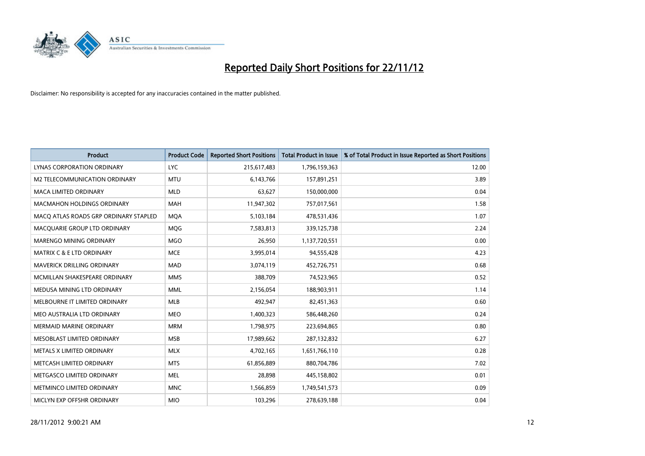

| <b>Product</b>                        | <b>Product Code</b> | <b>Reported Short Positions</b> | <b>Total Product in Issue</b> | % of Total Product in Issue Reported as Short Positions |
|---------------------------------------|---------------------|---------------------------------|-------------------------------|---------------------------------------------------------|
| <b>LYNAS CORPORATION ORDINARY</b>     | <b>LYC</b>          | 215,617,483                     | 1,796,159,363                 | 12.00                                                   |
| M2 TELECOMMUNICATION ORDINARY         | <b>MTU</b>          | 6,143,766                       | 157,891,251                   | 3.89                                                    |
| <b>MACA LIMITED ORDINARY</b>          | <b>MLD</b>          | 63,627                          | 150,000,000                   | 0.04                                                    |
| <b>MACMAHON HOLDINGS ORDINARY</b>     | <b>MAH</b>          | 11,947,302                      | 757,017,561                   | 1.58                                                    |
| MACQ ATLAS ROADS GRP ORDINARY STAPLED | <b>MQA</b>          | 5,103,184                       | 478,531,436                   | 1.07                                                    |
| MACQUARIE GROUP LTD ORDINARY          | <b>MOG</b>          | 7,583,813                       | 339,125,738                   | 2.24                                                    |
| <b>MARENGO MINING ORDINARY</b>        | <b>MGO</b>          | 26,950                          | 1,137,720,551                 | 0.00                                                    |
| <b>MATRIX C &amp; E LTD ORDINARY</b>  | <b>MCE</b>          | 3,995,014                       | 94,555,428                    | 4.23                                                    |
| MAVERICK DRILLING ORDINARY            | <b>MAD</b>          | 3,074,119                       | 452,726,751                   | 0.68                                                    |
| MCMILLAN SHAKESPEARE ORDINARY         | <b>MMS</b>          | 388,709                         | 74,523,965                    | 0.52                                                    |
| MEDUSA MINING LTD ORDINARY            | <b>MML</b>          | 2,156,054                       | 188,903,911                   | 1.14                                                    |
| MELBOURNE IT LIMITED ORDINARY         | <b>MLB</b>          | 492,947                         | 82,451,363                    | 0.60                                                    |
| MEO AUSTRALIA LTD ORDINARY            | <b>MEO</b>          | 1,400,323                       | 586,448,260                   | 0.24                                                    |
| <b>MERMAID MARINE ORDINARY</b>        | <b>MRM</b>          | 1,798,975                       | 223,694,865                   | 0.80                                                    |
| MESOBLAST LIMITED ORDINARY            | <b>MSB</b>          | 17,989,662                      | 287,132,832                   | 6.27                                                    |
| METALS X LIMITED ORDINARY             | <b>MLX</b>          | 4,702,165                       | 1,651,766,110                 | 0.28                                                    |
| METCASH LIMITED ORDINARY              | <b>MTS</b>          | 61,856,889                      | 880,704,786                   | 7.02                                                    |
| METGASCO LIMITED ORDINARY             | <b>MEL</b>          | 28,898                          | 445,158,802                   | 0.01                                                    |
| METMINCO LIMITED ORDINARY             | <b>MNC</b>          | 1,566,859                       | 1,749,541,573                 | 0.09                                                    |
| MICLYN EXP OFFSHR ORDINARY            | <b>MIO</b>          | 103,296                         | 278,639,188                   | 0.04                                                    |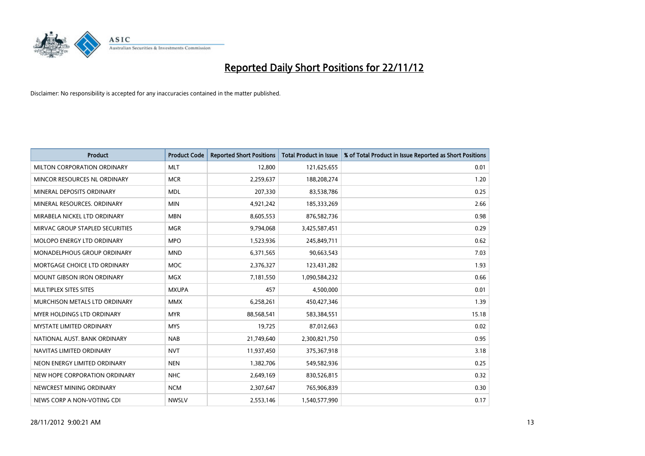

| <b>Product</b>                    | <b>Product Code</b> | <b>Reported Short Positions</b> | <b>Total Product in Issue</b> | % of Total Product in Issue Reported as Short Positions |
|-----------------------------------|---------------------|---------------------------------|-------------------------------|---------------------------------------------------------|
| MILTON CORPORATION ORDINARY       | <b>MLT</b>          | 12,800                          | 121,625,655                   | 0.01                                                    |
| MINCOR RESOURCES NL ORDINARY      | <b>MCR</b>          | 2,259,637                       | 188,208,274                   | 1.20                                                    |
| MINERAL DEPOSITS ORDINARY         | <b>MDL</b>          | 207,330                         | 83,538,786                    | 0.25                                                    |
| MINERAL RESOURCES. ORDINARY       | <b>MIN</b>          | 4,921,242                       | 185,333,269                   | 2.66                                                    |
| MIRABELA NICKEL LTD ORDINARY      | <b>MBN</b>          | 8,605,553                       | 876,582,736                   | 0.98                                                    |
| MIRVAC GROUP STAPLED SECURITIES   | <b>MGR</b>          | 9,794,068                       | 3,425,587,451                 | 0.29                                                    |
| <b>MOLOPO ENERGY LTD ORDINARY</b> | <b>MPO</b>          | 1,523,936                       | 245,849,711                   | 0.62                                                    |
| MONADELPHOUS GROUP ORDINARY       | <b>MND</b>          | 6,371,565                       | 90,663,543                    | 7.03                                                    |
| MORTGAGE CHOICE LTD ORDINARY      | <b>MOC</b>          | 2,376,327                       | 123,431,282                   | 1.93                                                    |
| <b>MOUNT GIBSON IRON ORDINARY</b> | <b>MGX</b>          | 7,181,550                       | 1,090,584,232                 | 0.66                                                    |
| MULTIPLEX SITES SITES             | <b>MXUPA</b>        | 457                             | 4,500,000                     | 0.01                                                    |
| MURCHISON METALS LTD ORDINARY     | <b>MMX</b>          | 6,258,261                       | 450,427,346                   | 1.39                                                    |
| MYER HOLDINGS LTD ORDINARY        | <b>MYR</b>          | 88,568,541                      | 583,384,551                   | 15.18                                                   |
| <b>MYSTATE LIMITED ORDINARY</b>   | <b>MYS</b>          | 19,725                          | 87,012,663                    | 0.02                                                    |
| NATIONAL AUST, BANK ORDINARY      | <b>NAB</b>          | 21,749,640                      | 2,300,821,750                 | 0.95                                                    |
| NAVITAS LIMITED ORDINARY          | <b>NVT</b>          | 11,937,450                      | 375,367,918                   | 3.18                                                    |
| NEON ENERGY LIMITED ORDINARY      | <b>NEN</b>          | 1,382,706                       | 549,582,936                   | 0.25                                                    |
| NEW HOPE CORPORATION ORDINARY     | <b>NHC</b>          | 2,649,169                       | 830,526,815                   | 0.32                                                    |
| NEWCREST MINING ORDINARY          | <b>NCM</b>          | 2,307,647                       | 765,906,839                   | 0.30                                                    |
| NEWS CORP A NON-VOTING CDI        | <b>NWSLV</b>        | 2,553,146                       | 1,540,577,990                 | 0.17                                                    |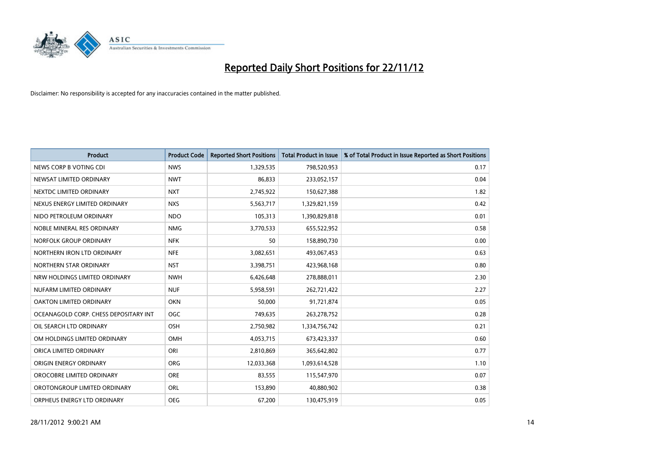

| <b>Product</b>                        | <b>Product Code</b> | <b>Reported Short Positions</b> | <b>Total Product in Issue</b> | % of Total Product in Issue Reported as Short Positions |
|---------------------------------------|---------------------|---------------------------------|-------------------------------|---------------------------------------------------------|
| NEWS CORP B VOTING CDI                | <b>NWS</b>          | 1,329,535                       | 798,520,953                   | 0.17                                                    |
| NEWSAT LIMITED ORDINARY               | <b>NWT</b>          | 86,833                          | 233,052,157                   | 0.04                                                    |
| NEXTDC LIMITED ORDINARY               | <b>NXT</b>          | 2,745,922                       | 150,627,388                   | 1.82                                                    |
| NEXUS ENERGY LIMITED ORDINARY         | <b>NXS</b>          | 5,563,717                       | 1,329,821,159                 | 0.42                                                    |
| NIDO PETROLEUM ORDINARY               | <b>NDO</b>          | 105,313                         | 1,390,829,818                 | 0.01                                                    |
| NOBLE MINERAL RES ORDINARY            | <b>NMG</b>          | 3,770,533                       | 655,522,952                   | 0.58                                                    |
| NORFOLK GROUP ORDINARY                | <b>NFK</b>          | 50                              | 158,890,730                   | 0.00                                                    |
| NORTHERN IRON LTD ORDINARY            | <b>NFE</b>          | 3,082,651                       | 493,067,453                   | 0.63                                                    |
| NORTHERN STAR ORDINARY                | <b>NST</b>          | 3,398,751                       | 423,968,168                   | 0.80                                                    |
| NRW HOLDINGS LIMITED ORDINARY         | <b>NWH</b>          | 6,426,648                       | 278,888,011                   | 2.30                                                    |
| NUFARM LIMITED ORDINARY               | <b>NUF</b>          | 5,958,591                       | 262,721,422                   | 2.27                                                    |
| OAKTON LIMITED ORDINARY               | <b>OKN</b>          | 50,000                          | 91,721,874                    | 0.05                                                    |
| OCEANAGOLD CORP. CHESS DEPOSITARY INT | <b>OGC</b>          | 749,635                         | 263,278,752                   | 0.28                                                    |
| OIL SEARCH LTD ORDINARY               | OSH                 | 2,750,982                       | 1,334,756,742                 | 0.21                                                    |
| OM HOLDINGS LIMITED ORDINARY          | OMH                 | 4,053,715                       | 673,423,337                   | 0.60                                                    |
| ORICA LIMITED ORDINARY                | ORI                 | 2,810,869                       | 365,642,802                   | 0.77                                                    |
| ORIGIN ENERGY ORDINARY                | <b>ORG</b>          | 12,033,368                      | 1,093,614,528                 | 1.10                                                    |
| OROCOBRE LIMITED ORDINARY             | <b>ORE</b>          | 83,555                          | 115,547,970                   | 0.07                                                    |
| OROTONGROUP LIMITED ORDINARY          | ORL                 | 153,890                         | 40,880,902                    | 0.38                                                    |
| ORPHEUS ENERGY LTD ORDINARY           | <b>OEG</b>          | 67,200                          | 130,475,919                   | 0.05                                                    |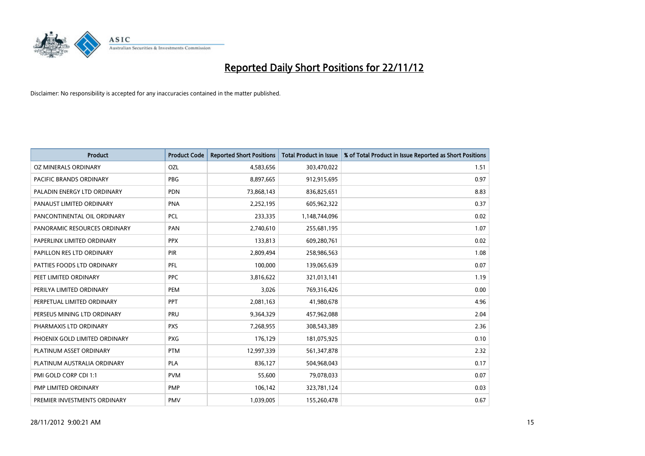

| <b>Product</b>                | <b>Product Code</b> | <b>Reported Short Positions</b> | <b>Total Product in Issue</b> | % of Total Product in Issue Reported as Short Positions |
|-------------------------------|---------------------|---------------------------------|-------------------------------|---------------------------------------------------------|
| OZ MINERALS ORDINARY          | OZL                 | 4,583,656                       | 303,470,022                   | 1.51                                                    |
| PACIFIC BRANDS ORDINARY       | <b>PBG</b>          | 8,897,665                       | 912,915,695                   | 0.97                                                    |
| PALADIN ENERGY LTD ORDINARY   | <b>PDN</b>          | 73,868,143                      | 836,825,651                   | 8.83                                                    |
| PANAUST LIMITED ORDINARY      | <b>PNA</b>          | 2,252,195                       | 605,962,322                   | 0.37                                                    |
| PANCONTINENTAL OIL ORDINARY   | <b>PCL</b>          | 233,335                         | 1,148,744,096                 | 0.02                                                    |
| PANORAMIC RESOURCES ORDINARY  | PAN                 | 2,740,610                       | 255,681,195                   | 1.07                                                    |
| PAPERLINX LIMITED ORDINARY    | <b>PPX</b>          | 133,813                         | 609,280,761                   | 0.02                                                    |
| PAPILLON RES LTD ORDINARY     | PIR                 | 2,809,494                       | 258,986,563                   | 1.08                                                    |
| PATTIES FOODS LTD ORDINARY    | PFL                 | 100,000                         | 139,065,639                   | 0.07                                                    |
| PEET LIMITED ORDINARY         | <b>PPC</b>          | 3,816,622                       | 321,013,141                   | 1.19                                                    |
| PERILYA LIMITED ORDINARY      | PEM                 | 3,026                           | 769,316,426                   | 0.00                                                    |
| PERPETUAL LIMITED ORDINARY    | PPT                 | 2,081,163                       | 41,980,678                    | 4.96                                                    |
| PERSEUS MINING LTD ORDINARY   | PRU                 | 9,364,329                       | 457,962,088                   | 2.04                                                    |
| PHARMAXIS LTD ORDINARY        | <b>PXS</b>          | 7,268,955                       | 308,543,389                   | 2.36                                                    |
| PHOENIX GOLD LIMITED ORDINARY | <b>PXG</b>          | 176,129                         | 181,075,925                   | 0.10                                                    |
| PLATINUM ASSET ORDINARY       | <b>PTM</b>          | 12,997,339                      | 561,347,878                   | 2.32                                                    |
| PLATINUM AUSTRALIA ORDINARY   | <b>PLA</b>          | 836,127                         | 504,968,043                   | 0.17                                                    |
| PMI GOLD CORP CDI 1:1         | <b>PVM</b>          | 55,600                          | 79,078,033                    | 0.07                                                    |
| PMP LIMITED ORDINARY          | <b>PMP</b>          | 106,142                         | 323,781,124                   | 0.03                                                    |
| PREMIER INVESTMENTS ORDINARY  | PMV                 | 1,039,005                       | 155,260,478                   | 0.67                                                    |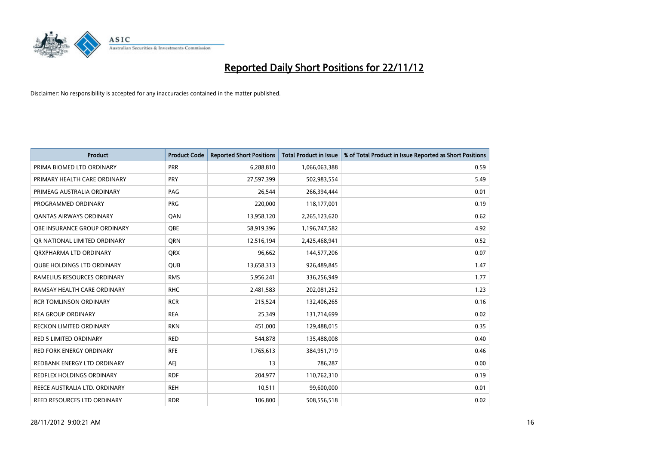

| <b>Product</b>                    | <b>Product Code</b> | <b>Reported Short Positions</b> | <b>Total Product in Issue</b> | % of Total Product in Issue Reported as Short Positions |
|-----------------------------------|---------------------|---------------------------------|-------------------------------|---------------------------------------------------------|
| PRIMA BIOMED LTD ORDINARY         | <b>PRR</b>          | 6,288,810                       | 1,066,063,388                 | 0.59                                                    |
| PRIMARY HEALTH CARE ORDINARY      | <b>PRY</b>          | 27,597,399                      | 502,983,554                   | 5.49                                                    |
| PRIMEAG AUSTRALIA ORDINARY        | PAG                 | 26,544                          | 266,394,444                   | 0.01                                                    |
| PROGRAMMED ORDINARY               | PRG                 | 220,000                         | 118,177,001                   | 0.19                                                    |
| OANTAS AIRWAYS ORDINARY           | QAN                 | 13,958,120                      | 2,265,123,620                 | 0.62                                                    |
| OBE INSURANCE GROUP ORDINARY      | <b>OBE</b>          | 58,919,396                      | 1,196,747,582                 | 4.92                                                    |
| OR NATIONAL LIMITED ORDINARY      | <b>ORN</b>          | 12,516,194                      | 2,425,468,941                 | 0.52                                                    |
| ORXPHARMA LTD ORDINARY            | <b>QRX</b>          | 96,662                          | 144,577,206                   | 0.07                                                    |
| <b>QUBE HOLDINGS LTD ORDINARY</b> | QUB                 | 13,658,313                      | 926,489,845                   | 1.47                                                    |
| RAMELIUS RESOURCES ORDINARY       | <b>RMS</b>          | 5,956,241                       | 336,256,949                   | 1.77                                                    |
| RAMSAY HEALTH CARE ORDINARY       | <b>RHC</b>          | 2,481,583                       | 202,081,252                   | 1.23                                                    |
| <b>RCR TOMLINSON ORDINARY</b>     | <b>RCR</b>          | 215,524                         | 132,406,265                   | 0.16                                                    |
| <b>REA GROUP ORDINARY</b>         | <b>REA</b>          | 25,349                          | 131,714,699                   | 0.02                                                    |
| <b>RECKON LIMITED ORDINARY</b>    | <b>RKN</b>          | 451,000                         | 129,488,015                   | 0.35                                                    |
| <b>RED 5 LIMITED ORDINARY</b>     | <b>RED</b>          | 544,878                         | 135,488,008                   | 0.40                                                    |
| <b>RED FORK ENERGY ORDINARY</b>   | <b>RFE</b>          | 1,765,613                       | 384,951,719                   | 0.46                                                    |
| REDBANK ENERGY LTD ORDINARY       | AEJ                 | 13                              | 786,287                       | 0.00                                                    |
| REDFLEX HOLDINGS ORDINARY         | <b>RDF</b>          | 204,977                         | 110,762,310                   | 0.19                                                    |
| REECE AUSTRALIA LTD. ORDINARY     | <b>REH</b>          | 10,511                          | 99,600,000                    | 0.01                                                    |
| REED RESOURCES LTD ORDINARY       | <b>RDR</b>          | 106.800                         | 508,556,518                   | 0.02                                                    |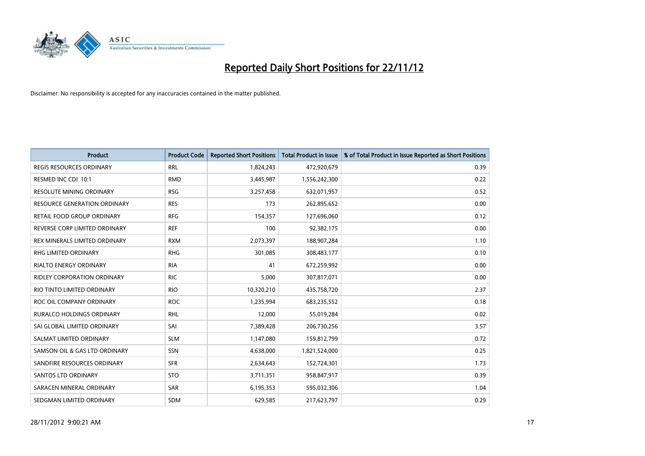

| <b>Product</b>                     | <b>Product Code</b> | <b>Reported Short Positions</b> | <b>Total Product in Issue</b> | % of Total Product in Issue Reported as Short Positions |
|------------------------------------|---------------------|---------------------------------|-------------------------------|---------------------------------------------------------|
| <b>REGIS RESOURCES ORDINARY</b>    | <b>RRL</b>          | 1,824,243                       | 472,920,679                   | 0.39                                                    |
| RESMED INC CDI 10:1                | <b>RMD</b>          | 3,445,987                       | 1,556,242,300                 | 0.22                                                    |
| <b>RESOLUTE MINING ORDINARY</b>    | <b>RSG</b>          | 3,257,458                       | 632,071,957                   | 0.52                                                    |
| RESOURCE GENERATION ORDINARY       | <b>RES</b>          | 173                             | 262,895,652                   | 0.00                                                    |
| RETAIL FOOD GROUP ORDINARY         | <b>RFG</b>          | 154,357                         | 127,696,060                   | 0.12                                                    |
| REVERSE CORP LIMITED ORDINARY      | <b>REF</b>          | 100                             | 92,382,175                    | 0.00                                                    |
| REX MINERALS LIMITED ORDINARY      | <b>RXM</b>          | 2,073,397                       | 188,907,284                   | 1.10                                                    |
| RHG LIMITED ORDINARY               | <b>RHG</b>          | 301,085                         | 308,483,177                   | 0.10                                                    |
| <b>RIALTO ENERGY ORDINARY</b>      | <b>RIA</b>          | 41                              | 672,259,992                   | 0.00                                                    |
| <b>RIDLEY CORPORATION ORDINARY</b> | <b>RIC</b>          | 5,000                           | 307,817,071                   | 0.00                                                    |
| RIO TINTO LIMITED ORDINARY         | <b>RIO</b>          | 10,320,210                      | 435,758,720                   | 2.37                                                    |
| ROC OIL COMPANY ORDINARY           | <b>ROC</b>          | 1,235,994                       | 683,235,552                   | 0.18                                                    |
| RURALCO HOLDINGS ORDINARY          | <b>RHL</b>          | 12,000                          | 55,019,284                    | 0.02                                                    |
| SAI GLOBAL LIMITED ORDINARY        | SAI                 | 7,389,428                       | 206,730,256                   | 3.57                                                    |
| SALMAT LIMITED ORDINARY            | <b>SLM</b>          | 1,147,080                       | 159,812,799                   | 0.72                                                    |
| SAMSON OIL & GAS LTD ORDINARY      | SSN                 | 4,638,000                       | 1,821,524,000                 | 0.25                                                    |
| SANDFIRE RESOURCES ORDINARY        | <b>SFR</b>          | 2,634,643                       | 152,724,301                   | 1.73                                                    |
| <b>SANTOS LTD ORDINARY</b>         | <b>STO</b>          | 3,711,351                       | 958,847,917                   | 0.39                                                    |
| SARACEN MINERAL ORDINARY           | <b>SAR</b>          | 6,195,353                       | 595,032,306                   | 1.04                                                    |
| SEDGMAN LIMITED ORDINARY           | <b>SDM</b>          | 629,585                         | 217,623,797                   | 0.29                                                    |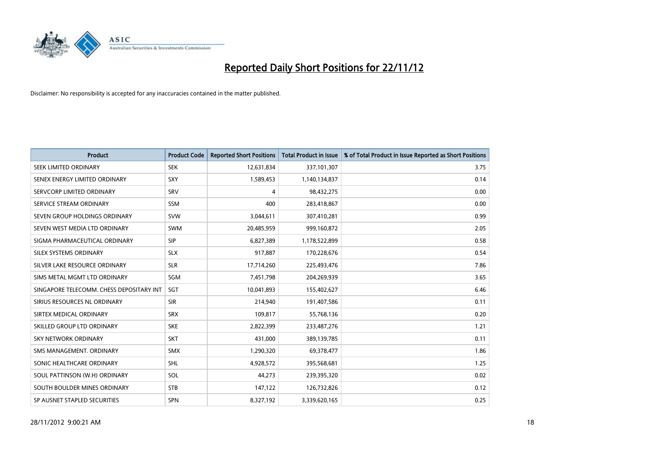

| <b>Product</b>                           | <b>Product Code</b> | <b>Reported Short Positions</b> | <b>Total Product in Issue</b> | % of Total Product in Issue Reported as Short Positions |
|------------------------------------------|---------------------|---------------------------------|-------------------------------|---------------------------------------------------------|
| SEEK LIMITED ORDINARY                    | <b>SEK</b>          | 12,631,834                      | 337,101,307                   | 3.75                                                    |
| SENEX ENERGY LIMITED ORDINARY            | SXY                 | 1,589,453                       | 1,140,134,837                 | 0.14                                                    |
| SERVCORP LIMITED ORDINARY                | SRV                 | 4                               | 98,432,275                    | 0.00                                                    |
| SERVICE STREAM ORDINARY                  | <b>SSM</b>          | 400                             | 283,418,867                   | 0.00                                                    |
| SEVEN GROUP HOLDINGS ORDINARY            | <b>SVW</b>          | 3,044,611                       | 307,410,281                   | 0.99                                                    |
| SEVEN WEST MEDIA LTD ORDINARY            | <b>SWM</b>          | 20,485,959                      | 999,160,872                   | 2.05                                                    |
| SIGMA PHARMACEUTICAL ORDINARY            | <b>SIP</b>          | 6,827,389                       | 1,178,522,899                 | 0.58                                                    |
| SILEX SYSTEMS ORDINARY                   | <b>SLX</b>          | 917,887                         | 170,228,676                   | 0.54                                                    |
| SILVER LAKE RESOURCE ORDINARY            | <b>SLR</b>          | 17,714,260                      | 225,493,476                   | 7.86                                                    |
| SIMS METAL MGMT LTD ORDINARY             | <b>SGM</b>          | 7,451,798                       | 204,269,939                   | 3.65                                                    |
| SINGAPORE TELECOMM. CHESS DEPOSITARY INT | SGT                 | 10,041,893                      | 155,402,627                   | 6.46                                                    |
| SIRIUS RESOURCES NL ORDINARY             | <b>SIR</b>          | 214,940                         | 191,407,586                   | 0.11                                                    |
| SIRTEX MEDICAL ORDINARY                  | <b>SRX</b>          | 109,817                         | 55,768,136                    | 0.20                                                    |
| SKILLED GROUP LTD ORDINARY               | <b>SKE</b>          | 2,822,399                       | 233,487,276                   | 1,21                                                    |
| SKY NETWORK ORDINARY                     | <b>SKT</b>          | 431,000                         | 389,139,785                   | 0.11                                                    |
| SMS MANAGEMENT, ORDINARY                 | <b>SMX</b>          | 1,290,320                       | 69,378,477                    | 1.86                                                    |
| SONIC HEALTHCARE ORDINARY                | <b>SHL</b>          | 4,928,572                       | 395,568,681                   | 1.25                                                    |
| SOUL PATTINSON (W.H) ORDINARY            | SOL                 | 44,273                          | 239,395,320                   | 0.02                                                    |
| SOUTH BOULDER MINES ORDINARY             | <b>STB</b>          | 147,122                         | 126,732,826                   | 0.12                                                    |
| SP AUSNET STAPLED SECURITIES             | <b>SPN</b>          | 8,327,192                       | 3,339,620,165                 | 0.25                                                    |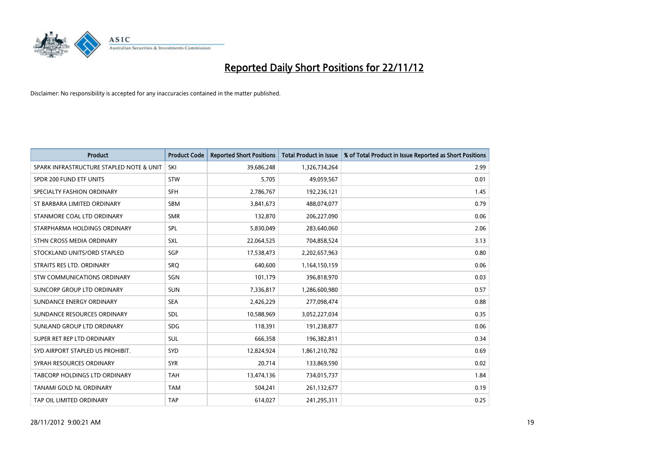

| <b>Product</b>                           | <b>Product Code</b> | <b>Reported Short Positions</b> | <b>Total Product in Issue</b> | % of Total Product in Issue Reported as Short Positions |
|------------------------------------------|---------------------|---------------------------------|-------------------------------|---------------------------------------------------------|
| SPARK INFRASTRUCTURE STAPLED NOTE & UNIT | SKI                 | 39,686,248                      | 1,326,734,264                 | 2.99                                                    |
| SPDR 200 FUND ETF UNITS                  | <b>STW</b>          | 5,705                           | 49,059,567                    | 0.01                                                    |
| SPECIALTY FASHION ORDINARY               | <b>SFH</b>          | 2,786,767                       | 192,236,121                   | 1.45                                                    |
| ST BARBARA LIMITED ORDINARY              | <b>SBM</b>          | 3,841,673                       | 488,074,077                   | 0.79                                                    |
| STANMORE COAL LTD ORDINARY               | <b>SMR</b>          | 132,870                         | 206,227,090                   | 0.06                                                    |
| STARPHARMA HOLDINGS ORDINARY             | <b>SPL</b>          | 5,830,049                       | 283,640,060                   | 2.06                                                    |
| STHN CROSS MEDIA ORDINARY                | <b>SXL</b>          | 22,064,525                      | 704,858,524                   | 3.13                                                    |
| STOCKLAND UNITS/ORD STAPLED              | <b>SGP</b>          | 17,538,473                      | 2,202,657,963                 | 0.80                                                    |
| STRAITS RES LTD. ORDINARY                | SRO                 | 640.600                         | 1,164,150,159                 | 0.06                                                    |
| STW COMMUNICATIONS ORDINARY              | SGN                 | 101,179                         | 396,818,970                   | 0.03                                                    |
| SUNCORP GROUP LTD ORDINARY               | <b>SUN</b>          | 7,336,817                       | 1,286,600,980                 | 0.57                                                    |
| SUNDANCE ENERGY ORDINARY                 | <b>SEA</b>          | 2,426,229                       | 277,098,474                   | 0.88                                                    |
| SUNDANCE RESOURCES ORDINARY              | <b>SDL</b>          | 10,588,969                      | 3,052,227,034                 | 0.35                                                    |
| SUNLAND GROUP LTD ORDINARY               | <b>SDG</b>          | 118,391                         | 191,238,877                   | 0.06                                                    |
| SUPER RET REP LTD ORDINARY               | <b>SUL</b>          | 666,358                         | 196,382,811                   | 0.34                                                    |
| SYD AIRPORT STAPLED US PROHIBIT.         | <b>SYD</b>          | 12,824,924                      | 1,861,210,782                 | 0.69                                                    |
| SYRAH RESOURCES ORDINARY                 | <b>SYR</b>          | 20,714                          | 133,869,590                   | 0.02                                                    |
| <b>TABCORP HOLDINGS LTD ORDINARY</b>     | <b>TAH</b>          | 13,474,136                      | 734,015,737                   | 1.84                                                    |
| <b>TANAMI GOLD NL ORDINARY</b>           | <b>TAM</b>          | 504,241                         | 261,132,677                   | 0.19                                                    |
| TAP OIL LIMITED ORDINARY                 | <b>TAP</b>          | 614,027                         | 241,295,311                   | 0.25                                                    |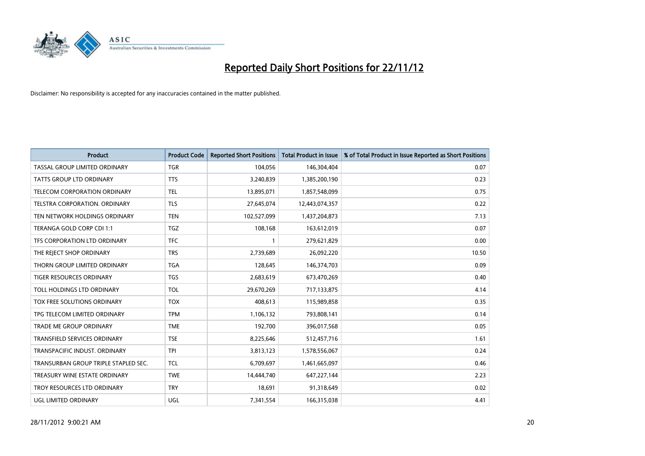

| <b>Product</b>                       | <b>Product Code</b> | <b>Reported Short Positions</b> | <b>Total Product in Issue</b> | % of Total Product in Issue Reported as Short Positions |
|--------------------------------------|---------------------|---------------------------------|-------------------------------|---------------------------------------------------------|
| TASSAL GROUP LIMITED ORDINARY        | <b>TGR</b>          | 104,056                         | 146,304,404                   | 0.07                                                    |
| TATTS GROUP LTD ORDINARY             | <b>TTS</b>          | 3,240,839                       | 1,385,200,190                 | 0.23                                                    |
| TELECOM CORPORATION ORDINARY         | <b>TEL</b>          | 13,895,071                      | 1,857,548,099                 | 0.75                                                    |
| <b>TELSTRA CORPORATION, ORDINARY</b> | <b>TLS</b>          | 27,645,074                      | 12,443,074,357                | 0.22                                                    |
| TEN NETWORK HOLDINGS ORDINARY        | <b>TEN</b>          | 102,527,099                     | 1,437,204,873                 | 7.13                                                    |
| TERANGA GOLD CORP CDI 1:1            | <b>TGZ</b>          | 108,168                         | 163,612,019                   | 0.07                                                    |
| TFS CORPORATION LTD ORDINARY         | <b>TFC</b>          |                                 | 279,621,829                   | 0.00                                                    |
| THE REJECT SHOP ORDINARY             | <b>TRS</b>          | 2,739,689                       | 26,092,220                    | 10.50                                                   |
| THORN GROUP LIMITED ORDINARY         | <b>TGA</b>          | 128,645                         | 146,374,703                   | 0.09                                                    |
| <b>TIGER RESOURCES ORDINARY</b>      | <b>TGS</b>          | 2,683,619                       | 673,470,269                   | 0.40                                                    |
| TOLL HOLDINGS LTD ORDINARY           | <b>TOL</b>          | 29,670,269                      | 717,133,875                   | 4.14                                                    |
| TOX FREE SOLUTIONS ORDINARY          | <b>TOX</b>          | 408,613                         | 115,989,858                   | 0.35                                                    |
| TPG TELECOM LIMITED ORDINARY         | <b>TPM</b>          | 1,106,132                       | 793,808,141                   | 0.14                                                    |
| <b>TRADE ME GROUP ORDINARY</b>       | <b>TME</b>          | 192,700                         | 396,017,568                   | 0.05                                                    |
| <b>TRANSFIELD SERVICES ORDINARY</b>  | <b>TSE</b>          | 8,225,646                       | 512,457,716                   | 1.61                                                    |
| TRANSPACIFIC INDUST. ORDINARY        | <b>TPI</b>          | 3,813,123                       | 1,578,556,067                 | 0.24                                                    |
| TRANSURBAN GROUP TRIPLE STAPLED SEC. | <b>TCL</b>          | 6,709,697                       | 1,461,665,097                 | 0.46                                                    |
| TREASURY WINE ESTATE ORDINARY        | <b>TWE</b>          | 14,444,740                      | 647,227,144                   | 2.23                                                    |
| TROY RESOURCES LTD ORDINARY          | <b>TRY</b>          | 18,691                          | 91,318,649                    | 0.02                                                    |
| UGL LIMITED ORDINARY                 | UGL                 | 7,341,554                       | 166,315,038                   | 4.41                                                    |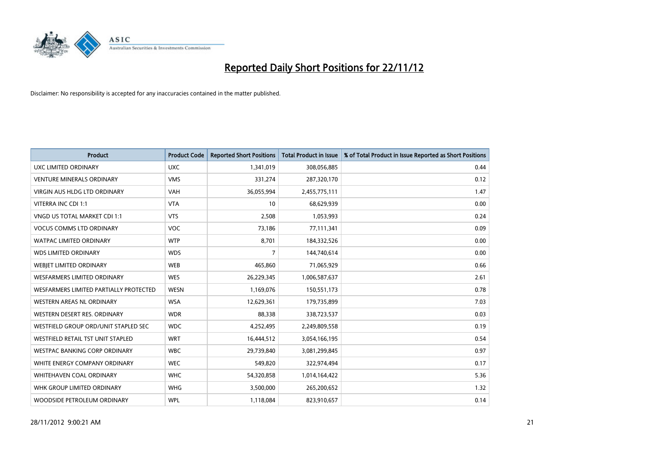

| <b>Product</b>                           | <b>Product Code</b> | <b>Reported Short Positions</b> | <b>Total Product in Issue</b> | % of Total Product in Issue Reported as Short Positions |
|------------------------------------------|---------------------|---------------------------------|-------------------------------|---------------------------------------------------------|
| <b>UXC LIMITED ORDINARY</b>              | <b>UXC</b>          | 1,341,019                       | 308,056,885                   | 0.44                                                    |
| <b>VENTURE MINERALS ORDINARY</b>         | <b>VMS</b>          | 331,274                         | 287,320,170                   | 0.12                                                    |
| <b>VIRGIN AUS HLDG LTD ORDINARY</b>      | <b>VAH</b>          | 36,055,994                      | 2,455,775,111                 | 1.47                                                    |
| VITERRA INC CDI 1:1                      | <b>VTA</b>          | 10                              | 68,629,939                    | 0.00                                                    |
| VNGD US TOTAL MARKET CDI 1:1             | <b>VTS</b>          | 2,508                           | 1,053,993                     | 0.24                                                    |
| <b>VOCUS COMMS LTD ORDINARY</b>          | <b>VOC</b>          | 73,186                          | 77,111,341                    | 0.09                                                    |
| <b>WATPAC LIMITED ORDINARY</b>           | <b>WTP</b>          | 8,701                           | 184,332,526                   | 0.00                                                    |
| <b>WDS LIMITED ORDINARY</b>              | <b>WDS</b>          | 7                               | 144,740,614                   | 0.00                                                    |
| WEBIET LIMITED ORDINARY                  | <b>WEB</b>          | 465,860                         | 71,065,929                    | 0.66                                                    |
| <b>WESFARMERS LIMITED ORDINARY</b>       | <b>WES</b>          | 26,229,345                      | 1,006,587,637                 | 2.61                                                    |
| WESFARMERS LIMITED PARTIALLY PROTECTED   | <b>WESN</b>         | 1,169,076                       | 150,551,173                   | 0.78                                                    |
| WESTERN AREAS NL ORDINARY                | <b>WSA</b>          | 12,629,361                      | 179,735,899                   | 7.03                                                    |
| WESTERN DESERT RES. ORDINARY             | <b>WDR</b>          | 88,338                          | 338,723,537                   | 0.03                                                    |
| WESTFIELD GROUP ORD/UNIT STAPLED SEC     | <b>WDC</b>          | 4,252,495                       | 2,249,809,558                 | 0.19                                                    |
| <b>WESTFIELD RETAIL TST UNIT STAPLED</b> | <b>WRT</b>          | 16,444,512                      | 3,054,166,195                 | 0.54                                                    |
| WESTPAC BANKING CORP ORDINARY            | <b>WBC</b>          | 29,739,840                      | 3,081,299,845                 | 0.97                                                    |
| WHITE ENERGY COMPANY ORDINARY            | <b>WEC</b>          | 549,820                         | 322,974,494                   | 0.17                                                    |
| <b>WHITEHAVEN COAL ORDINARY</b>          | <b>WHC</b>          | 54,320,858                      | 1,014,164,422                 | 5.36                                                    |
| WHK GROUP LIMITED ORDINARY               | <b>WHG</b>          | 3,500,000                       | 265,200,652                   | 1.32                                                    |
| WOODSIDE PETROLEUM ORDINARY              | <b>WPL</b>          | 1,118,084                       | 823,910,657                   | 0.14                                                    |